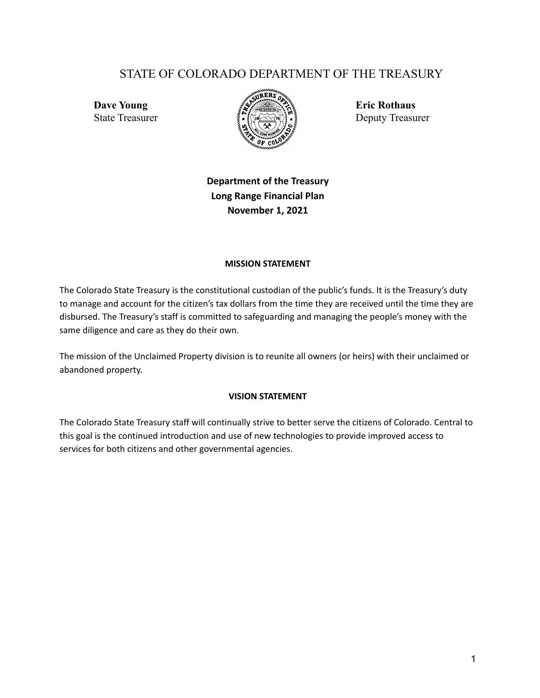# STATE OF COLORADO DEPARTMENT OF THE TREASURY



State Treasurer  $\{ \tilde{\mathbf{S}}_i : \tilde{\mathbf{S}}_i \in \tilde{\mathbf{S}}_i \}$  Deputy Treasurer

# **Department of the Treasury Long Range Financial Plan November 1, 2021**

#### **MISSION STATEMENT**

The Colorado State Treasury is the constitutional custodian of the public's funds. It is the Treasury's duty to manage and account for the citizen's tax dollars from the time they are received until the time they are disbursed. The Treasury's staff is committed to safeguarding and managing the people's money with the same diligence and care as they do their own.

The mission of the Unclaimed Property division is to reunite all owners (or heirs) with their unclaimed or abandoned property.

#### **VISION STATEMENT**

The Colorado State Treasury staff will continually strive to better serve the citizens of Colorado. Central to this goal is the continued introduction and use of new technologies to provide improved access to services for both citizens and other governmental agencies.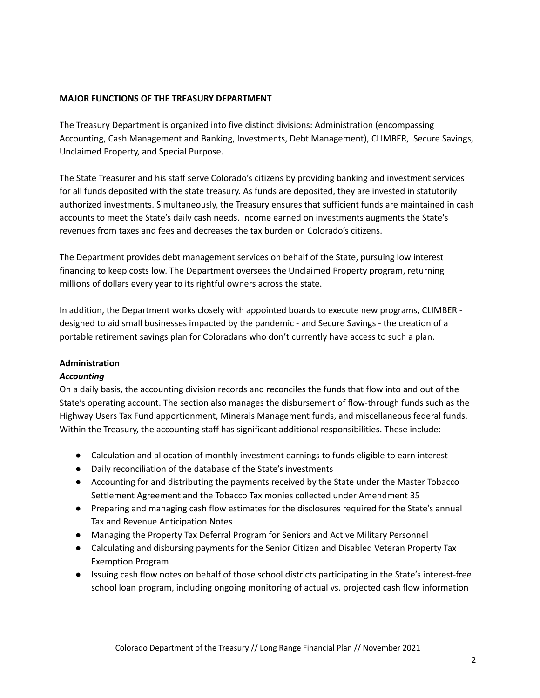# **MAJOR FUNCTIONS OF THE TREASURY DEPARTMENT**

The Treasury Department is organized into five distinct divisions: Administration (encompassing Accounting, Cash Management and Banking, Investments, Debt Management), CLIMBER, Secure Savings, Unclaimed Property, and Special Purpose.

The State Treasurer and his staff serve Colorado's citizens by providing banking and investment services for all funds deposited with the state treasury. As funds are deposited, they are invested in statutorily authorized investments. Simultaneously, the Treasury ensures that sufficient funds are maintained in cash accounts to meet the State's daily cash needs. Income earned on investments augments the State's revenues from taxes and fees and decreases the tax burden on Colorado's citizens.

The Department provides debt management services on behalf of the State, pursuing low interest financing to keep costs low. The Department oversees the Unclaimed Property program, returning millions of dollars every year to its rightful owners across the state.

In addition, the Department works closely with appointed boards to execute new programs, CLIMBER designed to aid small businesses impacted by the pandemic - and Secure Savings - the creation of a portable retirement savings plan for Coloradans who don't currently have access to such a plan.

# **Administration**

# *Accounting*

On a daily basis, the accounting division records and reconciles the funds that flow into and out of the State's operating account. The section also manages the disbursement of flow-through funds such as the Highway Users Tax Fund apportionment, Minerals Management funds, and miscellaneous federal funds. Within the Treasury, the accounting staff has significant additional responsibilities. These include:

- Calculation and allocation of monthly investment earnings to funds eligible to earn interest
- Daily reconciliation of the database of the State's investments
- Accounting for and distributing the payments received by the State under the Master Tobacco Settlement Agreement and the Tobacco Tax monies collected under Amendment 35
- Preparing and managing cash flow estimates for the disclosures required for the State's annual Tax and Revenue Anticipation Notes
- Managing the Property Tax Deferral Program for Seniors and Active Military Personnel
- Calculating and disbursing payments for the Senior Citizen and Disabled Veteran Property Tax Exemption Program
- Issuing cash flow notes on behalf of those school districts participating in the State's interest-free school loan program, including ongoing monitoring of actual vs. projected cash flow information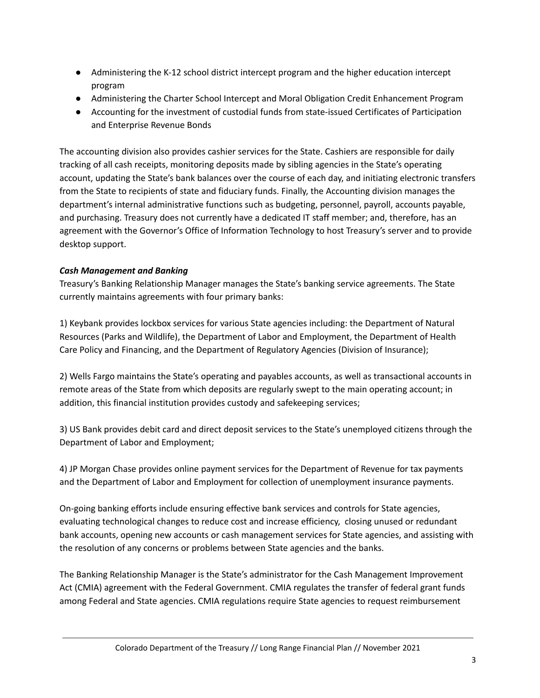- Administering the K-12 school district intercept program and the higher education intercept program
- Administering the Charter School Intercept and Moral Obligation Credit Enhancement Program
- Accounting for the investment of custodial funds from state-issued Certificates of Participation and Enterprise Revenue Bonds

The accounting division also provides cashier services for the State. Cashiers are responsible for daily tracking of all cash receipts, monitoring deposits made by sibling agencies in the State's operating account, updating the State's bank balances over the course of each day, and initiating electronic transfers from the State to recipients of state and fiduciary funds. Finally, the Accounting division manages the department's internal administrative functions such as budgeting, personnel, payroll, accounts payable, and purchasing. Treasury does not currently have a dedicated IT staff member; and, therefore, has an agreement with the Governor's Office of Information Technology to host Treasury's server and to provide desktop support.

# *Cash Management and Banking*

Treasury's Banking Relationship Manager manages the State's banking service agreements. The State currently maintains agreements with four primary banks:

1) Keybank provides lockbox services for various State agencies including: the Department of Natural Resources (Parks and Wildlife), the Department of Labor and Employment, the Department of Health Care Policy and Financing, and the Department of Regulatory Agencies (Division of Insurance);

2) Wells Fargo maintains the State's operating and payables accounts, as well as transactional accounts in remote areas of the State from which deposits are regularly swept to the main operating account; in addition, this financial institution provides custody and safekeeping services;

3) US Bank provides debit card and direct deposit services to the State's unemployed citizens through the Department of Labor and Employment;

4) JP Morgan Chase provides online payment services for the Department of Revenue for tax payments and the Department of Labor and Employment for collection of unemployment insurance payments.

On-going banking efforts include ensuring effective bank services and controls for State agencies, evaluating technological changes to reduce cost and increase efficiency, closing unused or redundant bank accounts, opening new accounts or cash management services for State agencies, and assisting with the resolution of any concerns or problems between State agencies and the banks.

The Banking Relationship Manager is the State's administrator for the Cash Management Improvement Act (CMIA) agreement with the Federal Government. CMIA regulates the transfer of federal grant funds among Federal and State agencies. CMIA regulations require State agencies to request reimbursement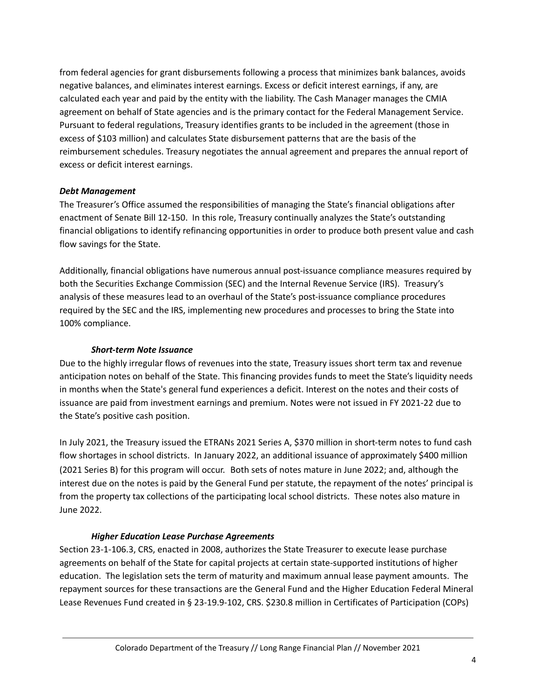from federal agencies for grant disbursements following a process that minimizes bank balances, avoids negative balances, and eliminates interest earnings. Excess or deficit interest earnings, if any, are calculated each year and paid by the entity with the liability. The Cash Manager manages the CMIA agreement on behalf of State agencies and is the primary contact for the Federal Management Service. Pursuant to federal regulations, Treasury identifies grants to be included in the agreement (those in excess of \$103 million) and calculates State disbursement patterns that are the basis of the reimbursement schedules. Treasury negotiates the annual agreement and prepares the annual report of excess or deficit interest earnings.

## *Debt Management*

The Treasurer's Office assumed the responsibilities of managing the State's financial obligations after enactment of Senate Bill 12-150. In this role, Treasury continually analyzes the State's outstanding financial obligations to identify refinancing opportunities in order to produce both present value and cash flow savings for the State.

Additionally, financial obligations have numerous annual post-issuance compliance measures required by both the Securities Exchange Commission (SEC) and the Internal Revenue Service (IRS). Treasury's analysis of these measures lead to an overhaul of the State's post-issuance compliance procedures required by the SEC and the IRS, implementing new procedures and processes to bring the State into 100% compliance.

### *Short-term Note Issuance*

Due to the highly irregular flows of revenues into the state, Treasury issues short term tax and revenue anticipation notes on behalf of the State. This financing provides funds to meet the State's liquidity needs in months when the State's general fund experiences a deficit. Interest on the notes and their costs of issuance are paid from investment earnings and premium. Notes were not issued in FY 2021-22 due to the State's positive cash position.

In July 2021, the Treasury issued the ETRANs 2021 Series A, \$370 million in short-term notes to fund cash flow shortages in school districts. In January 2022, an additional issuance of approximately \$400 million (2021 Series B) for this program will occur. Both sets of notes mature in June 2022; and, although the interest due on the notes is paid by the General Fund per statute, the repayment of the notes' principal is from the property tax collections of the participating local school districts. These notes also mature in June 2022.

#### *Higher Education Lease Purchase Agreements*

Section 23-1-106.3, CRS, enacted in 2008, authorizes the State Treasurer to execute lease purchase agreements on behalf of the State for capital projects at certain state-supported institutions of higher education. The legislation sets the term of maturity and maximum annual lease payment amounts. The repayment sources for these transactions are the General Fund and the Higher Education Federal Mineral Lease Revenues Fund created in § 23-19.9-102, CRS. \$230.8 million in Certificates of Participation (COPs)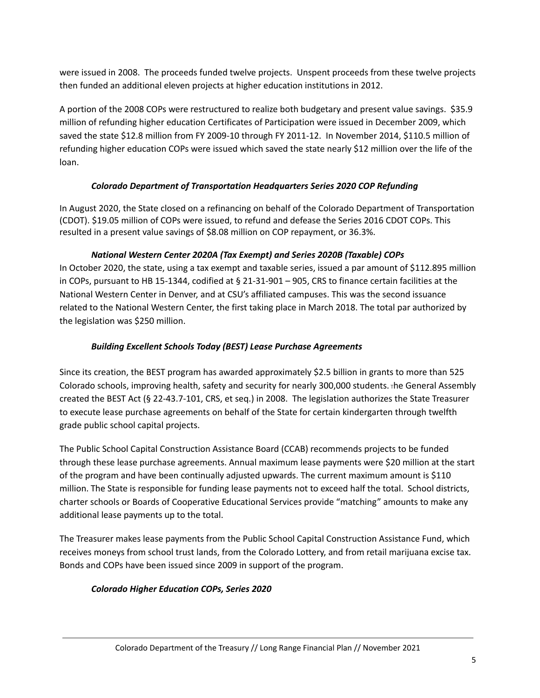were issued in 2008. The proceeds funded twelve projects. Unspent proceeds from these twelve projects then funded an additional eleven projects at higher education institutions in 2012.

A portion of the 2008 COPs were restructured to realize both budgetary and present value savings. \$35.9 million of refunding higher education Certificates of Participation were issued in December 2009, which saved the state \$12.8 million from FY 2009-10 through FY 2011-12. In November 2014, \$110.5 million of refunding higher education COPs were issued which saved the state nearly \$12 million over the life of the loan.

# *Colorado Department of Transportation Headquarters Series 2020 COP Refunding*

In August 2020, the State closed on a refinancing on behalf of the Colorado Department of Transportation (CDOT). \$19.05 million of COPs were issued, to refund and defease the Series 2016 CDOT COPs. This resulted in a present value savings of \$8.08 million on COP repayment, or 36.3%.

# *National Western Center 2020A (Tax Exempt) and Series 2020B (Taxable) COPs*

In October 2020, the state, using a tax exempt and taxable series, issued a par amount of \$112.895 million in COPs, pursuant to HB 15-1344, codified at § 21-31-901 – 905, CRS to finance certain facilities at the National Western Center in Denver, and at CSU's affiliated campuses. This was the second issuance related to the National Western Center, the first taking place in March 2018. The total par authorized by the legislation was \$250 million.

# *Building Excellent Schools Today (BEST) Lease Purchase Agreements*

Since its creation, the BEST program has awarded approximately \$2.5 billion in grants to more than 525 Colorado schools, improving health, safety and security for nearly 300,000 students. <sup>T</sup>he General Assembly created the BEST Act (§ 22-43.7-101, CRS, et seq.) in 2008. The legislation authorizes the State Treasurer to execute lease purchase agreements on behalf of the State for certain kindergarten through twelfth grade public school capital projects.

The Public School Capital Construction Assistance Board (CCAB) recommends projects to be funded through these lease purchase agreements. Annual maximum lease payments were \$20 million at the start of the program and have been continually adjusted upwards. The current maximum amount is \$110 million. The State is responsible for funding lease payments not to exceed half the total. School districts, charter schools or Boards of Cooperative Educational Services provide "matching" amounts to make any additional lease payments up to the total.

The Treasurer makes lease payments from the Public School Capital Construction Assistance Fund, which receives moneys from school trust lands, from the Colorado Lottery, and from retail marijuana excise tax. Bonds and COPs have been issued since 2009 in support of the program.

# *Colorado Higher Education COPs, Series 2020*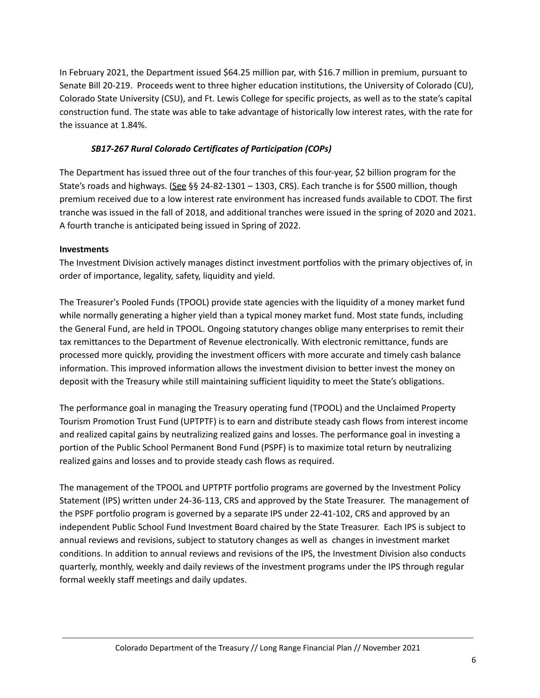In February 2021, the Department issued \$64.25 million par, with \$16.7 million in premium, pursuant to Senate Bill 20-219. Proceeds went to three higher education institutions, the University of Colorado (CU), Colorado State University (CSU), and Ft. Lewis College for specific projects, as well as to the state's capital construction fund. The state was able to take advantage of historically low interest rates, with the rate for the issuance at 1.84%.

# *SB17-267 Rural Colorado Certificates of Participation (COPs)*

The Department has issued three out of the four tranches of this four-year, \$2 billion program for the State's roads and highways. (See §§ 24-82-1301 – 1303, CRS). Each tranche is for \$500 million, though premium received due to a low interest rate environment has increased funds available to CDOT. The first tranche was issued in the fall of 2018, and additional tranches were issued in the spring of 2020 and 2021. A fourth tranche is anticipated being issued in Spring of 2022.

## **Investments**

The Investment Division actively manages distinct investment portfolios with the primary objectives of, in order of importance, legality, safety, liquidity and yield.

The Treasurer's Pooled Funds (TPOOL) provide state agencies with the liquidity of a money market fund while normally generating a higher yield than a typical money market fund. Most state funds, including the General Fund, are held in TPOOL. Ongoing statutory changes oblige many enterprises to remit their tax remittances to the Department of Revenue electronically. With electronic remittance, funds are processed more quickly, providing the investment officers with more accurate and timely cash balance information. This improved information allows the investment division to better invest the money on deposit with the Treasury while still maintaining sufficient liquidity to meet the State's obligations.

The performance goal in managing the Treasury operating fund (TPOOL) and the Unclaimed Property Tourism Promotion Trust Fund (UPTPTF) is to earn and distribute steady cash flows from interest income and realized capital gains by neutralizing realized gains and losses. The performance goal in investing a portion of the Public School Permanent Bond Fund (PSPF) is to maximize total return by neutralizing realized gains and losses and to provide steady cash flows as required.

The management of the TPOOL and UPTPTF portfolio programs are governed by the Investment Policy Statement (IPS) written under 24-36-113, CRS and approved by the State Treasurer. The management of the PSPF portfolio program is governed by a separate IPS under 22-41-102, CRS and approved by an independent Public School Fund Investment Board chaired by the State Treasurer. Each IPS is subject to annual reviews and revisions, subject to statutory changes as well as changes in investment market conditions. In addition to annual reviews and revisions of the IPS, the Investment Division also conducts quarterly, monthly, weekly and daily reviews of the investment programs under the IPS through regular formal weekly staff meetings and daily updates.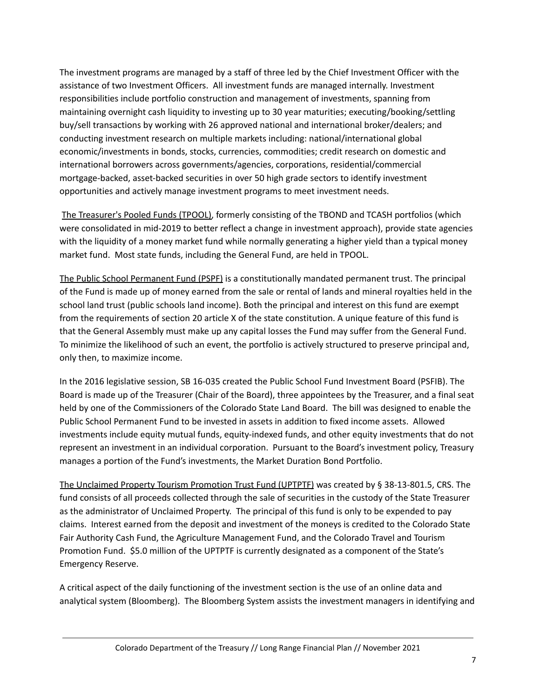The investment programs are managed by a staff of three led by the Chief Investment Officer with the assistance of two Investment Officers. All investment funds are managed internally. Investment responsibilities include portfolio construction and management of investments, spanning from maintaining overnight cash liquidity to investing up to 30 year maturities; executing/booking/settling buy/sell transactions by working with 26 approved national and international broker/dealers; and conducting investment research on multiple markets including: national/international global economic/investments in bonds, stocks, currencies, commodities; credit research on domestic and international borrowers across governments/agencies, corporations, residential/commercial mortgage-backed, asset-backed securities in over 50 high grade sectors to identify investment opportunities and actively manage investment programs to meet investment needs.

The Treasurer's Pooled Funds (TPOOL), formerly consisting of the TBOND and TCASH portfolios (which were consolidated in mid-2019 to better reflect a change in investment approach), provide state agencies with the liquidity of a money market fund while normally generating a higher yield than a typical money market fund. Most state funds, including the General Fund, are held in TPOOL.

The Public School Permanent Fund (PSPF) is a constitutionally mandated permanent trust. The principal of the Fund is made up of money earned from the sale or rental of lands and mineral royalties held in the school land trust (public schools land income). Both the principal and interest on this fund are exempt from the requirements of section 20 article X of the state constitution. A unique feature of this fund is that the General Assembly must make up any capital losses the Fund may suffer from the General Fund. To minimize the likelihood of such an event, the portfolio is actively structured to preserve principal and, only then, to maximize income.

In the 2016 legislative session, SB 16-035 created the Public School Fund Investment Board (PSFIB). The Board is made up of the Treasurer (Chair of the Board), three appointees by the Treasurer, and a final seat held by one of the Commissioners of the Colorado State Land Board. The bill was designed to enable the Public School Permanent Fund to be invested in assets in addition to fixed income assets. Allowed investments include equity mutual funds, equity-indexed funds, and other equity investments that do not represent an investment in an individual corporation. Pursuant to the Board's investment policy, Treasury manages a portion of the Fund's investments, the Market Duration Bond Portfolio.

The Unclaimed Property Tourism Promotion Trust Fund (UPTPTF) was created by § 38-13-801.5, CRS. The fund consists of all proceeds collected through the sale of securities in the custody of the State Treasurer as the administrator of Unclaimed Property. The principal of this fund is only to be expended to pay claims. Interest earned from the deposit and investment of the moneys is credited to the Colorado State Fair Authority Cash Fund, the Agriculture Management Fund, and the Colorado Travel and Tourism Promotion Fund. \$5.0 million of the UPTPTF is currently designated as a component of the State's Emergency Reserve.

A critical aspect of the daily functioning of the investment section is the use of an online data and analytical system (Bloomberg). The Bloomberg System assists the investment managers in identifying and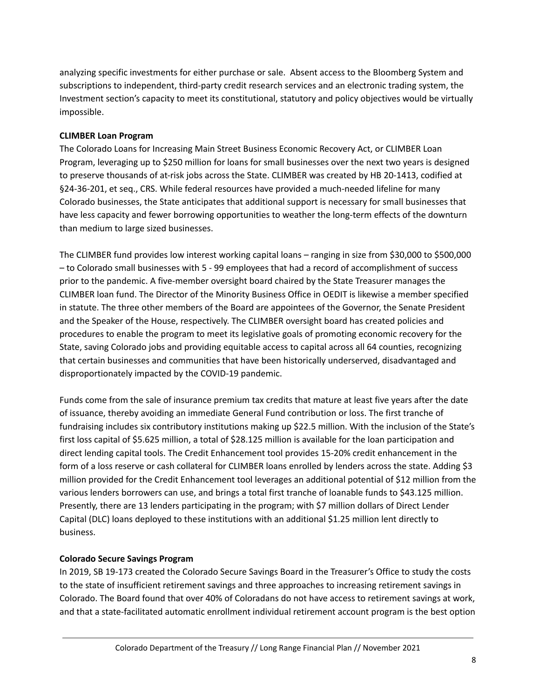analyzing specific investments for either purchase or sale. Absent access to the Bloomberg System and subscriptions to independent, third-party credit research services and an electronic trading system, the Investment section's capacity to meet its constitutional, statutory and policy objectives would be virtually impossible.

## **CLIMBER Loan Program**

The Colorado Loans for Increasing Main Street Business Economic Recovery Act, or CLIMBER Loan Program, leveraging up to \$250 million for loans for small businesses over the next two years is designed to preserve thousands of at-risk jobs across the State. CLIMBER was created by HB 20-1413, codified at §24-36-201, et seq., CRS. While federal resources have provided a much-needed lifeline for many Colorado businesses, the State anticipates that additional support is necessary for small businesses that have less capacity and fewer borrowing opportunities to weather the long-term effects of the downturn than medium to large sized businesses.

The CLIMBER fund provides low interest working capital loans – ranging in size from \$30,000 to \$500,000 – to Colorado small businesses with 5 - 99 employees that had a record of accomplishment of success prior to the pandemic. A five-member oversight board chaired by the State Treasurer manages the CLIMBER loan fund. The Director of the Minority Business Office in OEDIT is likewise a member specified in statute. The three other members of the Board are appointees of the Governor, the Senate President and the Speaker of the House, respectively. The CLIMBER oversight board has created policies and procedures to enable the program to meet its legislative goals of promoting economic recovery for the State, saving Colorado jobs and providing equitable access to capital across all 64 counties, recognizing that certain businesses and communities that have been historically underserved, disadvantaged and disproportionately impacted by the COVID-19 pandemic.

Funds come from the sale of insurance premium tax credits that mature at least five years after the date of issuance, thereby avoiding an immediate General Fund contribution or loss. The first tranche of fundraising includes six contributory institutions making up \$22.5 million. With the inclusion of the State's first loss capital of \$5.625 million, a total of \$28.125 million is available for the loan participation and direct lending capital tools. The Credit Enhancement tool provides 15-20% credit enhancement in the form of a loss reserve or cash collateral for CLIMBER loans enrolled by lenders across the state. Adding \$3 million provided for the Credit Enhancement tool leverages an additional potential of \$12 million from the various lenders borrowers can use, and brings a total first tranche of loanable funds to \$43.125 million. Presently, there are 13 lenders participating in the program; with \$7 million dollars of Direct Lender Capital (DLC) loans deployed to these institutions with an additional \$1.25 million lent directly to business.

# **Colorado Secure Savings Program**

In 2019, SB 19-173 created the Colorado Secure Savings Board in the Treasurer's Office to study the costs to the state of insufficient retirement savings and three approaches to increasing retirement savings in Colorado. The Board found that over 40% of Coloradans do not have access to retirement savings at work, and that a state-facilitated automatic enrollment individual retirement account program is the best option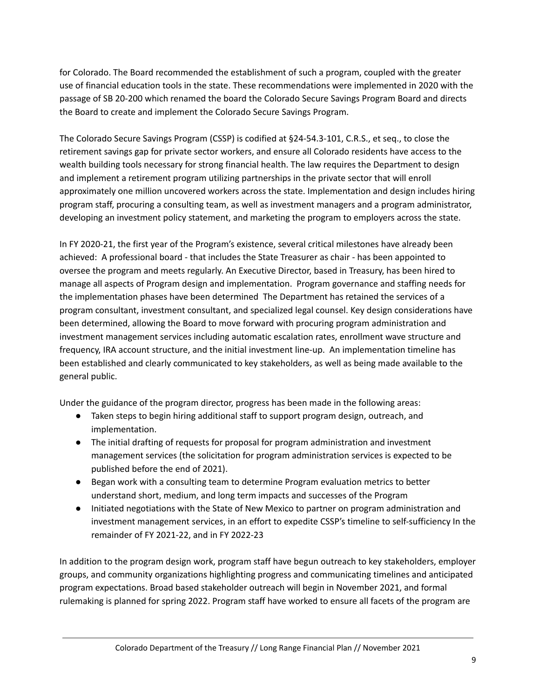for Colorado. The Board recommended the establishment of such a program, coupled with the greater use of financial education tools in the state. These recommendations were implemented in 2020 with the passage of SB 20-200 which renamed the board the Colorado Secure Savings Program Board and directs the Board to create and implement the Colorado Secure Savings Program.

The Colorado Secure Savings Program (CSSP) is codified at §24-54.3-101, C.R.S., et seq., to close the retirement savings gap for private sector workers, and ensure all Colorado residents have access to the wealth building tools necessary for strong financial health. The law requires the Department to design and implement a retirement program utilizing partnerships in the private sector that will enroll approximately one million uncovered workers across the state. Implementation and design includes hiring program staff, procuring a consulting team, as well as investment managers and a program administrator, developing an investment policy statement, and marketing the program to employers across the state.

In FY 2020-21, the first year of the Program's existence, several critical milestones have already been achieved: A professional board - that includes the State Treasurer as chair - has been appointed to oversee the program and meets regularly. An Executive Director, based in Treasury, has been hired to manage all aspects of Program design and implementation. Program governance and staffing needs for the implementation phases have been determined The Department has retained the services of a program consultant, investment consultant, and specialized legal counsel. Key design considerations have been determined, allowing the Board to move forward with procuring program administration and investment management services including automatic escalation rates, enrollment wave structure and frequency, IRA account structure, and the initial investment line-up. An implementation timeline has been established and clearly communicated to key stakeholders, as well as being made available to the general public.

Under the guidance of the program director, progress has been made in the following areas:

- Taken steps to begin hiring additional staff to support program design, outreach, and implementation.
- The initial drafting of requests for proposal for program administration and investment management services (the solicitation for program administration services is expected to be published before the end of 2021).
- Began work with a consulting team to determine Program evaluation metrics to better understand short, medium, and long term impacts and successes of the Program
- Initiated negotiations with the State of New Mexico to partner on program administration and investment management services, in an effort to expedite CSSP's timeline to self-sufficiency In the remainder of FY 2021-22, and in FY 2022-23

In addition to the program design work, program staff have begun outreach to key stakeholders, employer groups, and community organizations highlighting progress and communicating timelines and anticipated program expectations. Broad based stakeholder outreach will begin in November 2021, and formal rulemaking is planned for spring 2022. Program staff have worked to ensure all facets of the program are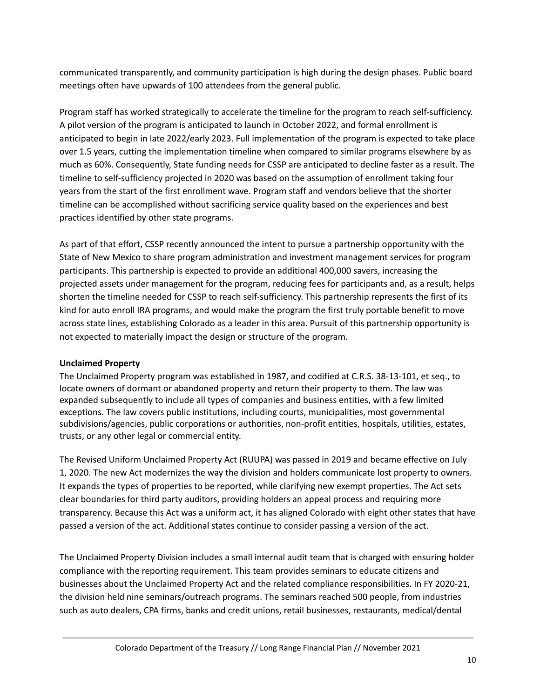communicated transparently, and community participation is high during the design phases. Public board meetings often have upwards of 100 attendees from the general public.

Program staff has worked strategically to accelerate the timeline for the program to reach self-sufficiency. A pilot version of the program is anticipated to launch in October 2022, and formal enrollment is anticipated to begin in late 2022/early 2023. Full implementation of the program is expected to take place over 1.5 years, cutting the implementation timeline when compared to similar programs elsewhere by as much as 60%. Consequently, State funding needs for CSSP are anticipated to decline faster as a result. The timeline to self-sufficiency projected in 2020 was based on the assumption of enrollment taking four years from the start of the first enrollment wave. Program staff and vendors believe that the shorter timeline can be accomplished without sacrificing service quality based on the experiences and best practices identified by other state programs.

As part of that effort, CSSP recently announced the intent to pursue a partnership opportunity with the State of New Mexico to share program administration and investment management services for program participants. This partnership is expected to provide an additional 400,000 savers, increasing the projected assets under management for the program, reducing fees for participants and, as a result, helps shorten the timeline needed for CSSP to reach self-sufficiency. This partnership represents the first of its kind for auto enroll IRA programs, and would make the program the first truly portable benefit to move across state lines, establishing Colorado as a leader in this area. Pursuit of this partnership opportunity is not expected to materially impact the design or structure of the program.

#### **Unclaimed Property**

The Unclaimed Property program was established in 1987, and codified at C.R.S. 38-13-101, et seq., to locate owners of dormant or abandoned property and return their property to them. The law was expanded subsequently to include all types of companies and business entities, with a few limited exceptions. The law covers public institutions, including courts, municipalities, most governmental subdivisions/agencies, public corporations or authorities, non-profit entities, hospitals, utilities, estates, trusts, or any other legal or commercial entity.

The Revised Uniform Unclaimed Property Act (RUUPA) was passed in 2019 and became effective on July 1, 2020. The new Act modernizes the way the division and holders communicate lost property to owners. It expands the types of properties to be reported, while clarifying new exempt properties. The Act sets clear boundaries for third party auditors, providing holders an appeal process and requiring more transparency. Because this Act was a uniform act, it has aligned Colorado with eight other states that have passed a version of the act. Additional states continue to consider passing a version of the act.

The Unclaimed Property Division includes a small internal audit team that is charged with ensuring holder compliance with the reporting requirement. This team provides seminars to educate citizens and businesses about the Unclaimed Property Act and the related compliance responsibilities. In FY 2020-21, the division held nine seminars/outreach programs. The seminars reached 500 people, from industries such as auto dealers, CPA firms, banks and credit unions, retail businesses, restaurants, medical/dental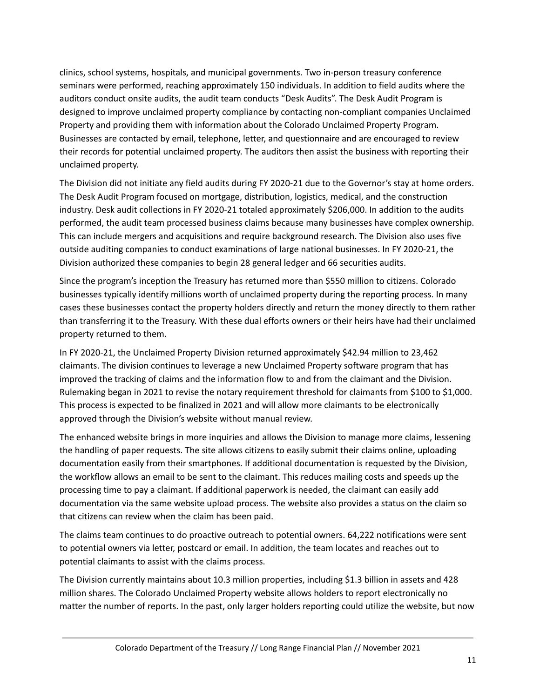clinics, school systems, hospitals, and municipal governments. Two in-person treasury conference seminars were performed, reaching approximately 150 individuals. In addition to field audits where the auditors conduct onsite audits, the audit team conducts "Desk Audits". The Desk Audit Program is designed to improve unclaimed property compliance by contacting non-compliant companies Unclaimed Property and providing them with information about the Colorado Unclaimed Property Program. Businesses are contacted by email, telephone, letter, and questionnaire and are encouraged to review their records for potential unclaimed property. The auditors then assist the business with reporting their unclaimed property.

The Division did not initiate any field audits during FY 2020-21 due to the Governor's stay at home orders. The Desk Audit Program focused on mortgage, distribution, logistics, medical, and the construction industry. Desk audit collections in FY 2020-21 totaled approximately \$206,000. In addition to the audits performed, the audit team processed business claims because many businesses have complex ownership. This can include mergers and acquisitions and require background research. The Division also uses five outside auditing companies to conduct examinations of large national businesses. In FY 2020-21, the Division authorized these companies to begin 28 general ledger and 66 securities audits.

Since the program's inception the Treasury has returned more than \$550 million to citizens. Colorado businesses typically identify millions worth of unclaimed property during the reporting process. In many cases these businesses contact the property holders directly and return the money directly to them rather than transferring it to the Treasury. With these dual efforts owners or their heirs have had their unclaimed property returned to them.

In FY 2020-21, the Unclaimed Property Division returned approximately \$42.94 million to 23,462 claimants. The division continues to leverage a new Unclaimed Property software program that has improved the tracking of claims and the information flow to and from the claimant and the Division. Rulemaking began in 2021 to revise the notary requirement threshold for claimants from \$100 to \$1,000. This process is expected to be finalized in 2021 and will allow more claimants to be electronically approved through the Division's website without manual review.

The enhanced website brings in more inquiries and allows the Division to manage more claims, lessening the handling of paper requests. The site allows citizens to easily submit their claims online, uploading documentation easily from their smartphones. If additional documentation is requested by the Division, the workflow allows an email to be sent to the claimant. This reduces mailing costs and speeds up the processing time to pay a claimant. If additional paperwork is needed, the claimant can easily add documentation via the same website upload process. The website also provides a status on the claim so that citizens can review when the claim has been paid.

The claims team continues to do proactive outreach to potential owners. 64,222 notifications were sent to potential owners via letter, postcard or email. In addition, the team locates and reaches out to potential claimants to assist with the claims process.

The Division currently maintains about 10.3 million properties, including \$1.3 billion in assets and 428 million shares. The Colorado Unclaimed Property website allows holders to report electronically no matter the number of reports. In the past, only larger holders reporting could utilize the website, but now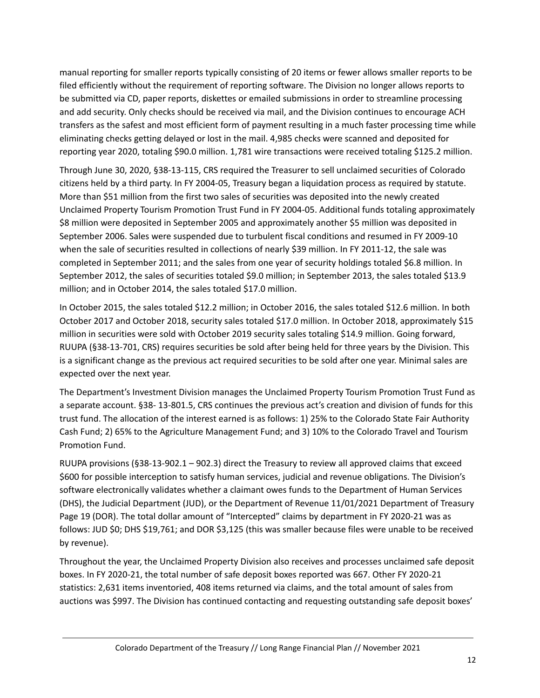manual reporting for smaller reports typically consisting of 20 items or fewer allows smaller reports to be filed efficiently without the requirement of reporting software. The Division no longer allows reports to be submitted via CD, paper reports, diskettes or emailed submissions in order to streamline processing and add security. Only checks should be received via mail, and the Division continues to encourage ACH transfers as the safest and most efficient form of payment resulting in a much faster processing time while eliminating checks getting delayed or lost in the mail. 4,985 checks were scanned and deposited for reporting year 2020, totaling \$90.0 million. 1,781 wire transactions were received totaling \$125.2 million.

Through June 30, 2020, §38-13-115, CRS required the Treasurer to sell unclaimed securities of Colorado citizens held by a third party. In FY 2004-05, Treasury began a liquidation process as required by statute. More than \$51 million from the first two sales of securities was deposited into the newly created Unclaimed Property Tourism Promotion Trust Fund in FY 2004-05. Additional funds totaling approximately \$8 million were deposited in September 2005 and approximately another \$5 million was deposited in September 2006. Sales were suspended due to turbulent fiscal conditions and resumed in FY 2009-10 when the sale of securities resulted in collections of nearly \$39 million. In FY 2011-12, the sale was completed in September 2011; and the sales from one year of security holdings totaled \$6.8 million. In September 2012, the sales of securities totaled \$9.0 million; in September 2013, the sales totaled \$13.9 million; and in October 2014, the sales totaled \$17.0 million.

In October 2015, the sales totaled \$12.2 million; in October 2016, the sales totaled \$12.6 million. In both October 2017 and October 2018, security sales totaled \$17.0 million. In October 2018, approximately \$15 million in securities were sold with October 2019 security sales totaling \$14.9 million. Going forward, RUUPA (§38-13-701, CRS) requires securities be sold after being held for three years by the Division. This is a significant change as the previous act required securities to be sold after one year. Minimal sales are expected over the next year.

The Department's Investment Division manages the Unclaimed Property Tourism Promotion Trust Fund as a separate account. §38- 13-801.5, CRS continues the previous act's creation and division of funds for this trust fund. The allocation of the interest earned is as follows: 1) 25% to the Colorado State Fair Authority Cash Fund; 2) 65% to the Agriculture Management Fund; and 3) 10% to the Colorado Travel and Tourism Promotion Fund.

RUUPA provisions (§38-13-902.1 – 902.3) direct the Treasury to review all approved claims that exceed \$600 for possible interception to satisfy human services, judicial and revenue obligations. The Division's software electronically validates whether a claimant owes funds to the Department of Human Services (DHS), the Judicial Department (JUD), or the Department of Revenue 11/01/2021 Department of Treasury Page 19 (DOR). The total dollar amount of "Intercepted" claims by department in FY 2020-21 was as follows: JUD \$0; DHS \$19,761; and DOR \$3,125 (this was smaller because files were unable to be received by revenue).

Throughout the year, the Unclaimed Property Division also receives and processes unclaimed safe deposit boxes. In FY 2020-21, the total number of safe deposit boxes reported was 667. Other FY 2020-21 statistics: 2,631 items inventoried, 408 items returned via claims, and the total amount of sales from auctions was \$997. The Division has continued contacting and requesting outstanding safe deposit boxes'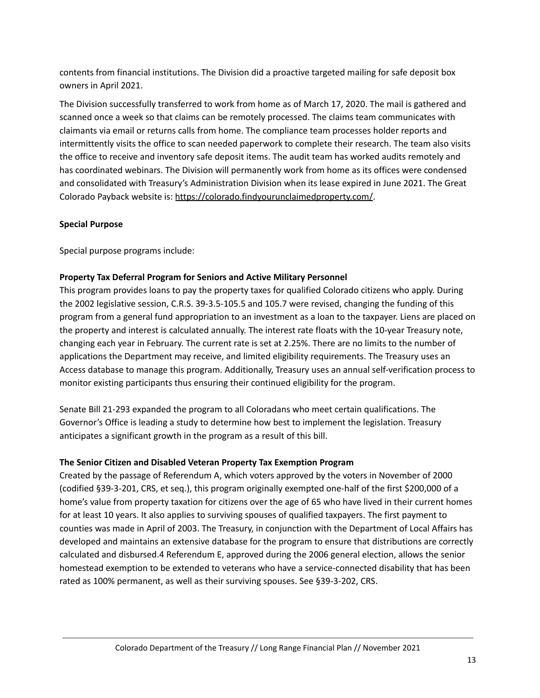contents from financial institutions. The Division did a proactive targeted mailing for safe deposit box owners in April 2021.

The Division successfully transferred to work from home as of March 17, 2020. The mail is gathered and scanned once a week so that claims can be remotely processed. The claims team communicates with claimants via email or returns calls from home. The compliance team processes holder reports and intermittently visits the office to scan needed paperwork to complete their research. The team also visits the office to receive and inventory safe deposit items. The audit team has worked audits remotely and has coordinated webinars. The Division will permanently work from home as its offices were condensed and consolidated with Treasury's Administration Division when its lease expired in June 2021. The Great Colorado Payback website is: <https://colorado.findyourunclaimedproperty.com/>.

#### **Special Purpose**

Special purpose programs include:

## **Property Tax Deferral Program for Seniors and Active Military Personnel**

This program provides loans to pay the property taxes for qualified Colorado citizens who apply. During the 2002 legislative session, C.R.S. 39-3.5-105.5 and 105.7 were revised, changing the funding of this program from a general fund appropriation to an investment as a loan to the taxpayer. Liens are placed on the property and interest is calculated annually. The interest rate floats with the 10-year Treasury note, changing each year in February. The current rate is set at 2.25%. There are no limits to the number of applications the Department may receive, and limited eligibility requirements. The Treasury uses an Access database to manage this program. Additionally, Treasury uses an annual self-verification process to monitor existing participants thus ensuring their continued eligibility for the program.

Senate Bill 21-293 expanded the program to all Coloradans who meet certain qualifications. The Governor's Office is leading a study to determine how best to implement the legislation. Treasury anticipates a significant growth in the program as a result of this bill.

#### **The Senior Citizen and Disabled Veteran Property Tax Exemption Program**

Created by the passage of Referendum A, which voters approved by the voters in November of 2000 (codified §39-3-201, CRS, et seq.), this program originally exempted one-half of the first \$200,000 of a home's value from property taxation for citizens over the age of 65 who have lived in their current homes for at least 10 years. It also applies to surviving spouses of qualified taxpayers. The first payment to counties was made in April of 2003. The Treasury, in conjunction with the Department of Local Affairs has developed and maintains an extensive database for the program to ensure that distributions are correctly calculated and disbursed.4 Referendum E, approved during the 2006 general election, allows the senior homestead exemption to be extended to veterans who have a service-connected disability that has been rated as 100% permanent, as well as their surviving spouses. See §39-3-202, CRS.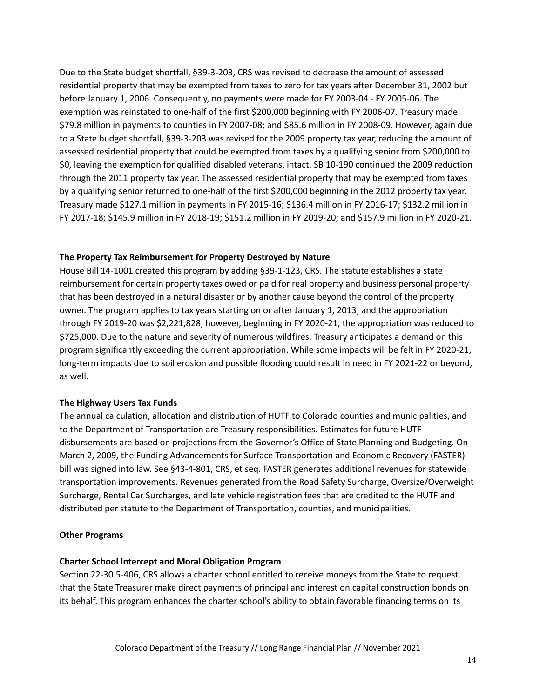Due to the State budget shortfall, §39-3-203, CRS was revised to decrease the amount of assessed residential property that may be exempted from taxes to zero for tax years after December 31, 2002 but before January 1, 2006. Consequently, no payments were made for FY 2003-04 - FY 2005-06. The exemption was reinstated to one-half of the first \$200,000 beginning with FY 2006-07. Treasury made \$79.8 million in payments to counties in FY 2007-08; and \$85.6 million in FY 2008-09. However, again due to a State budget shortfall, §39-3-203 was revised for the 2009 property tax year, reducing the amount of assessed residential property that could be exempted from taxes by a qualifying senior from \$200,000 to \$0, leaving the exemption for qualified disabled veterans, intact. SB 10-190 continued the 2009 reduction through the 2011 property tax year. The assessed residential property that may be exempted from taxes by a qualifying senior returned to one-half of the first \$200,000 beginning in the 2012 property tax year. Treasury made \$127.1 million in payments in FY 2015-16; \$136.4 million in FY 2016-17; \$132.2 million in FY 2017-18; \$145.9 million in FY 2018-19; \$151.2 million in FY 2019-20; and \$157.9 million in FY 2020-21.

## **The Property Tax Reimbursement for Property Destroyed by Nature**

House Bill 14-1001 created this program by adding §39-1-123, CRS. The statute establishes a state reimbursement for certain property taxes owed or paid for real property and business personal property that has been destroyed in a natural disaster or by another cause beyond the control of the property owner. The program applies to tax years starting on or after January 1, 2013; and the appropriation through FY 2019-20 was \$2,221,828; however, beginning in FY 2020-21, the appropriation was reduced to \$725,000. Due to the nature and severity of numerous wildfires, Treasury anticipates a demand on this program significantly exceeding the current appropriation. While some impacts will be felt in FY 2020-21, long-term impacts due to soil erosion and possible flooding could result in need in FY 2021-22 or beyond, as well.

#### **The Highway Users Tax Funds**

The annual calculation, allocation and distribution of HUTF to Colorado counties and municipalities, and to the Department of Transportation are Treasury responsibilities. Estimates for future HUTF disbursements are based on projections from the Governor's Office of State Planning and Budgeting. On March 2, 2009, the Funding Advancements for Surface Transportation and Economic Recovery (FASTER) bill was signed into law. See §43-4-801, CRS, et seq. FASTER generates additional revenues for statewide transportation improvements. Revenues generated from the Road Safety Surcharge, Oversize/Overweight Surcharge, Rental Car Surcharges, and late vehicle registration fees that are credited to the HUTF and distributed per statute to the Department of Transportation, counties, and municipalities.

#### **Other Programs**

#### **Charter School Intercept and Moral Obligation Program**

Section 22-30.5-406, CRS allows a charter school entitled to receive moneys from the State to request that the State Treasurer make direct payments of principal and interest on capital construction bonds on its behalf. This program enhances the charter school's ability to obtain favorable financing terms on its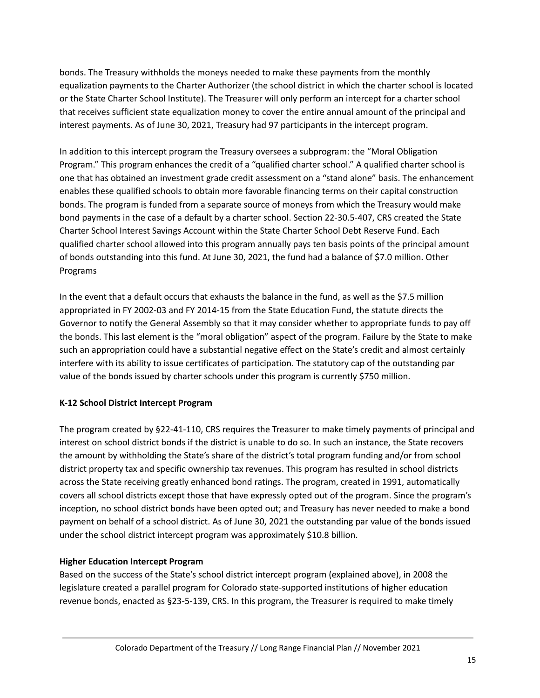bonds. The Treasury withholds the moneys needed to make these payments from the monthly equalization payments to the Charter Authorizer (the school district in which the charter school is located or the State Charter School Institute). The Treasurer will only perform an intercept for a charter school that receives sufficient state equalization money to cover the entire annual amount of the principal and interest payments. As of June 30, 2021, Treasury had 97 participants in the intercept program.

In addition to this intercept program the Treasury oversees a subprogram: the "Moral Obligation Program." This program enhances the credit of a "qualified charter school." A qualified charter school is one that has obtained an investment grade credit assessment on a "stand alone" basis. The enhancement enables these qualified schools to obtain more favorable financing terms on their capital construction bonds. The program is funded from a separate source of moneys from which the Treasury would make bond payments in the case of a default by a charter school. Section 22-30.5-407, CRS created the State Charter School Interest Savings Account within the State Charter School Debt Reserve Fund. Each qualified charter school allowed into this program annually pays ten basis points of the principal amount of bonds outstanding into this fund. At June 30, 2021, the fund had a balance of \$7.0 million. Other Programs

In the event that a default occurs that exhausts the balance in the fund, as well as the \$7.5 million appropriated in FY 2002-03 and FY 2014-15 from the State Education Fund, the statute directs the Governor to notify the General Assembly so that it may consider whether to appropriate funds to pay off the bonds. This last element is the "moral obligation" aspect of the program. Failure by the State to make such an appropriation could have a substantial negative effect on the State's credit and almost certainly interfere with its ability to issue certificates of participation. The statutory cap of the outstanding par value of the bonds issued by charter schools under this program is currently \$750 million.

# **K-12 School District Intercept Program**

The program created by §22-41-110, CRS requires the Treasurer to make timely payments of principal and interest on school district bonds if the district is unable to do so. In such an instance, the State recovers the amount by withholding the State's share of the district's total program funding and/or from school district property tax and specific ownership tax revenues. This program has resulted in school districts across the State receiving greatly enhanced bond ratings. The program, created in 1991, automatically covers all school districts except those that have expressly opted out of the program. Since the program's inception, no school district bonds have been opted out; and Treasury has never needed to make a bond payment on behalf of a school district. As of June 30, 2021 the outstanding par value of the bonds issued under the school district intercept program was approximately \$10.8 billion.

# **Higher Education Intercept Program**

Based on the success of the State's school district intercept program (explained above), in 2008 the legislature created a parallel program for Colorado state-supported institutions of higher education revenue bonds, enacted as §23-5-139, CRS. In this program, the Treasurer is required to make timely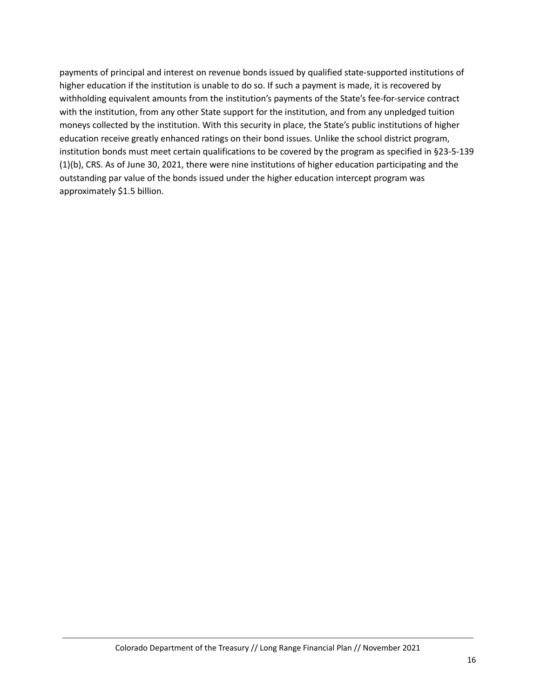payments of principal and interest on revenue bonds issued by qualified state-supported institutions of higher education if the institution is unable to do so. If such a payment is made, it is recovered by withholding equivalent amounts from the institution's payments of the State's fee-for-service contract with the institution, from any other State support for the institution, and from any unpledged tuition moneys collected by the institution. With this security in place, the State's public institutions of higher education receive greatly enhanced ratings on their bond issues. Unlike the school district program, institution bonds must meet certain qualifications to be covered by the program as specified in §23-5-139 (1)(b), CRS. As of June 30, 2021, there were nine institutions of higher education participating and the outstanding par value of the bonds issued under the higher education intercept program was approximately \$1.5 billion.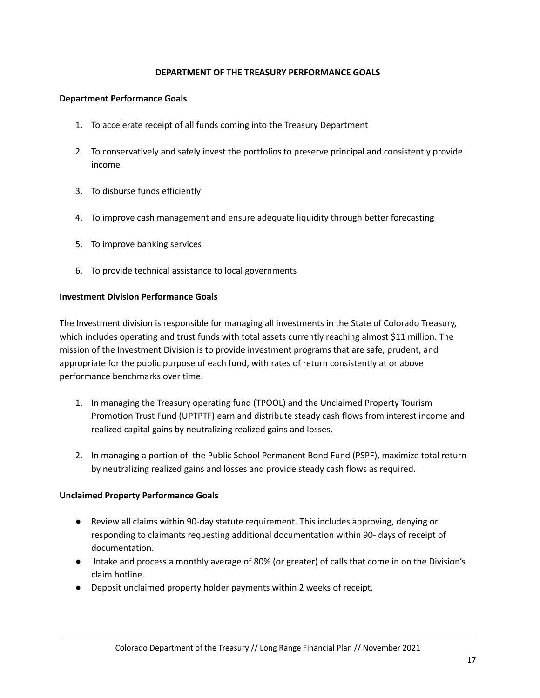#### **DEPARTMENT OF THE TREASURY PERFORMANCE GOALS**

#### **Department Performance Goals**

- 1. To accelerate receipt of all funds coming into the Treasury Department
- 2. To conservatively and safely invest the portfolios to preserve principal and consistently provide income
- 3. To disburse funds efficiently
- 4. To improve cash management and ensure adequate liquidity through better forecasting
- 5. To improve banking services
- 6. To provide technical assistance to local governments

#### **Investment Division Performance Goals**

The Investment division is responsible for managing all investments in the State of Colorado Treasury, which includes operating and trust funds with total assets currently reaching almost \$11 million. The mission of the Investment Division is to provide investment programs that are safe, prudent, and appropriate for the public purpose of each fund, with rates of return consistently at or above performance benchmarks over time.

- 1. In managing the Treasury operating fund (TPOOL) and the Unclaimed Property Tourism Promotion Trust Fund (UPTPTF) earn and distribute steady cash flows from interest income and realized capital gains by neutralizing realized gains and losses.
- 2. In managing a portion of the Public School Permanent Bond Fund (PSPF), maximize total return by neutralizing realized gains and losses and provide steady cash flows as required.

#### **Unclaimed Property Performance Goals**

- Review all claims within 90-day statute requirement. This includes approving, denying or responding to claimants requesting additional documentation within 90- days of receipt of documentation.
- Intake and process a monthly average of 80% (or greater) of calls that come in on the Division's claim hotline.
- Deposit unclaimed property holder payments within 2 weeks of receipt.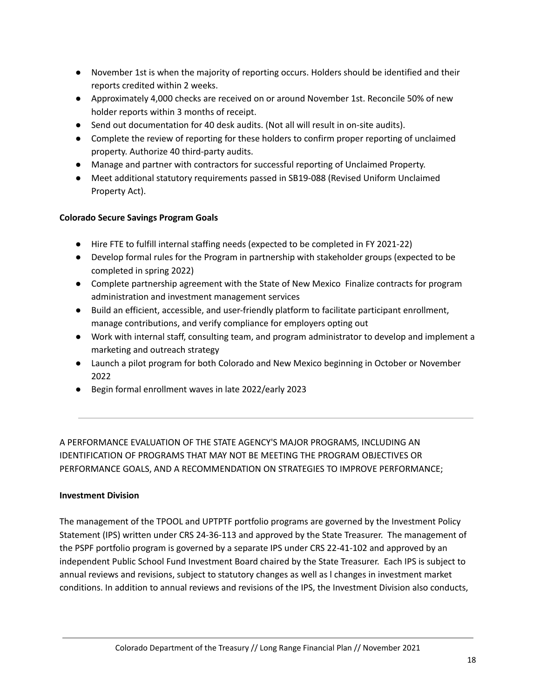- November 1st is when the majority of reporting occurs. Holders should be identified and their reports credited within 2 weeks.
- Approximately 4,000 checks are received on or around November 1st. Reconcile 50% of new holder reports within 3 months of receipt.
- Send out documentation for 40 desk audits. (Not all will result in on-site audits).
- Complete the review of reporting for these holders to confirm proper reporting of unclaimed property. Authorize 40 third-party audits.
- Manage and partner with contractors for successful reporting of Unclaimed Property.
- Meet additional statutory requirements passed in SB19-088 (Revised Uniform Unclaimed Property Act).

## **Colorado Secure Savings Program Goals**

- Hire FTE to fulfill internal staffing needs (expected to be completed in FY 2021-22)
- Develop formal rules for the Program in partnership with stakeholder groups (expected to be completed in spring 2022)
- Complete partnership agreement with the State of New Mexico Finalize contracts for program administration and investment management services
- Build an efficient, accessible, and user-friendly platform to facilitate participant enrollment, manage contributions, and verify compliance for employers opting out
- Work with internal staff, consulting team, and program administrator to develop and implement a marketing and outreach strategy
- Launch a pilot program for both Colorado and New Mexico beginning in October or November 2022
- Begin formal enrollment waves in late 2022/early 2023

A PERFORMANCE EVALUATION OF THE STATE AGENCY'S MAJOR PROGRAMS, INCLUDING AN IDENTIFICATION OF PROGRAMS THAT MAY NOT BE MEETING THE PROGRAM OBJECTIVES OR PERFORMANCE GOALS, AND A RECOMMENDATION ON STRATEGIES TO IMPROVE PERFORMANCE;

#### **Investment Division**

The management of the TPOOL and UPTPTF portfolio programs are governed by the Investment Policy Statement (IPS) written under CRS 24-36-113 and approved by the State Treasurer. The management of the PSPF portfolio program is governed by a separate IPS under CRS 22-41-102 and approved by an independent Public School Fund Investment Board chaired by the State Treasurer. Each IPS is subject to annual reviews and revisions, subject to statutory changes as well as l changes in investment market conditions. In addition to annual reviews and revisions of the IPS, the Investment Division also conducts,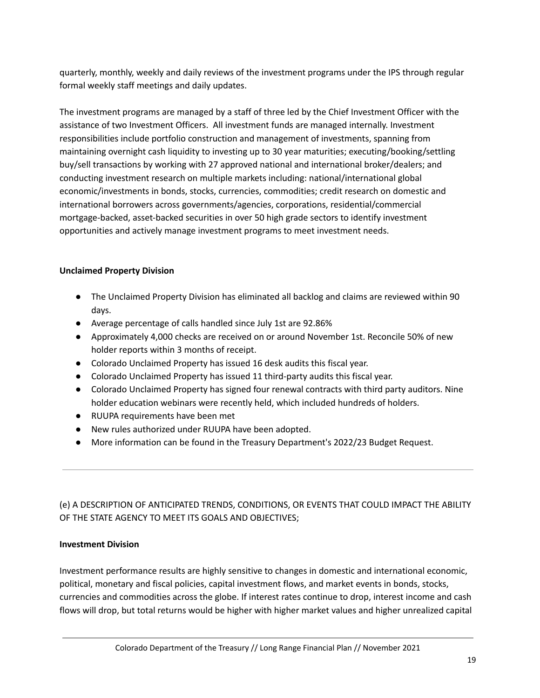quarterly, monthly, weekly and daily reviews of the investment programs under the IPS through regular formal weekly staff meetings and daily updates.

The investment programs are managed by a staff of three led by the Chief Investment Officer with the assistance of two Investment Officers. All investment funds are managed internally. Investment responsibilities include portfolio construction and management of investments, spanning from maintaining overnight cash liquidity to investing up to 30 year maturities; executing/booking/settling buy/sell transactions by working with 27 approved national and international broker/dealers; and conducting investment research on multiple markets including: national/international global economic/investments in bonds, stocks, currencies, commodities; credit research on domestic and international borrowers across governments/agencies, corporations, residential/commercial mortgage-backed, asset-backed securities in over 50 high grade sectors to identify investment opportunities and actively manage investment programs to meet investment needs.

## **Unclaimed Property Division**

- The Unclaimed Property Division has eliminated all backlog and claims are reviewed within 90 days.
- Average percentage of calls handled since July 1st are 92.86%
- Approximately 4,000 checks are received on or around November 1st. Reconcile 50% of new holder reports within 3 months of receipt.
- Colorado Unclaimed Property has issued 16 desk audits this fiscal year.
- Colorado Unclaimed Property has issued 11 third-party audits this fiscal year.
- Colorado Unclaimed Property has signed four renewal contracts with third party auditors. Nine holder education webinars were recently held, which included hundreds of holders.
- RUUPA requirements have been met
- New rules authorized under RUUPA have been adopted.
- More information can be found in the Treasury Department's 2022/23 Budget Request.

# (e) A DESCRIPTION OF ANTICIPATED TRENDS, CONDITIONS, OR EVENTS THAT COULD IMPACT THE ABILITY OF THE STATE AGENCY TO MEET ITS GOALS AND OBJECTIVES;

#### **Investment Division**

Investment performance results are highly sensitive to changes in domestic and international economic, political, monetary and fiscal policies, capital investment flows, and market events in bonds, stocks, currencies and commodities across the globe. If interest rates continue to drop, interest income and cash flows will drop, but total returns would be higher with higher market values and higher unrealized capital